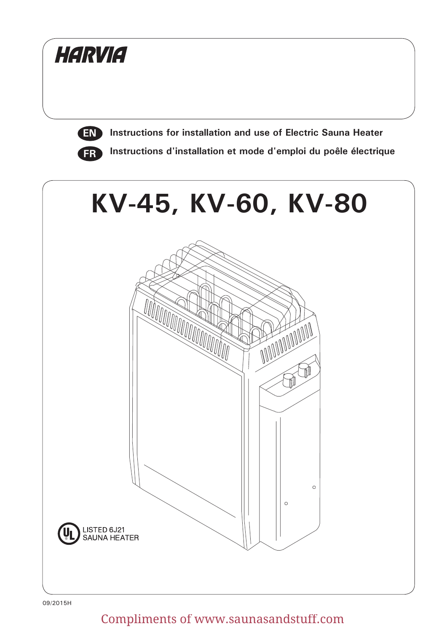

09/2015H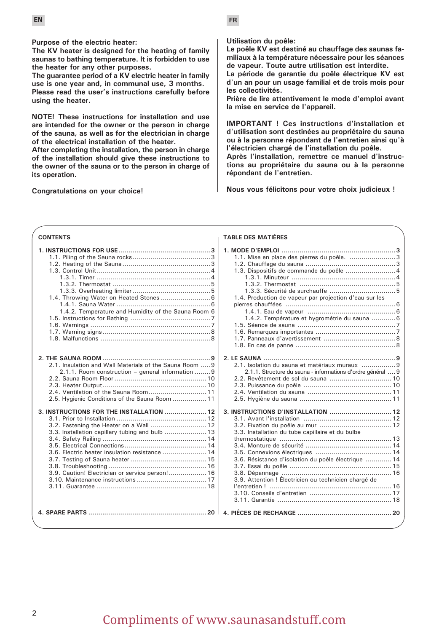**Purpose of the electric heater:**

**The KV heater is designed for the heating of family saunas to bathing temperature. It is forbidden to use the heater for any other purposes.**

**The guarantee period of a KV electric heater in family use is one year and, in communal use, 3 months.**

**Please read the user's instructions carefully before using the heater.**

**NOTE! These instructions for installation and use are intended for the owner or the person in charge of the sauna, as well as for the electrician in charge of the electrical installation of the heater.**

**After completing the installation, the person in charge of the installation should give these instructions to the owner of the sauna or to the person in charge of its operation.**

**Congratulations on your choice!**

**Utilisation du poêle:** 

**TABLE DES MATIÉRES**

**Le poêle KV est destiné au chauffage des saunas familiaux à la température nécessaire pour les séances de vapeur. Toute autre utilisation est interdite.** 

**La période de garantie du poêle électrique KV est d'un an pour un usage familial et de trois mois pour les collectivités.** 

**Prière de lire attentivement le mode d'emploi avant la mise en service de l'appareil.** 

**IMPORTANT ! Ces instructions d'installation et d'utilisation sont destinées au propriétaire du sauna ou à la personne répondant de l'entretien ainsi qu'à l'électricien chargé de l'installation du poêle.** 

**Après l'installation, remettre ce manuel d'instructions au propriétaire du sauna ou à la personne répondant de l'entretien.** 

**Nous vous félicitons pour votre choix judicieux !** 

#### **CONTENTS**

|                                                         | 1.1. Mise en place des pierres du poêle. 3                  |
|---------------------------------------------------------|-------------------------------------------------------------|
|                                                         |                                                             |
|                                                         | 1.3. Dispositifs de commande du poêle  4                    |
|                                                         |                                                             |
|                                                         |                                                             |
|                                                         |                                                             |
| 1.4. Throwing Water on Heated Stones  6                 | 1.4. Production de vapeur par projection d'eau sur les      |
|                                                         |                                                             |
| 1.4.2. Temperature and Humidity of the Sauna Room 6     |                                                             |
|                                                         | 1.4.2. Température et hygrométrie du sauna  6               |
|                                                         |                                                             |
|                                                         |                                                             |
|                                                         |                                                             |
|                                                         |                                                             |
|                                                         |                                                             |
|                                                         |                                                             |
| 2.1. Insulation and Wall Materials of the Sauna Room  9 | 2.1. Isolation du sauna et matériaux muraux 9               |
| 2.1.1. Room construction – general information 9        | 2.1.1. Structure du sauna - informations d'ordre général  9 |
|                                                         |                                                             |
|                                                         |                                                             |
| 2.4. Ventilation of the Sauna Room 11                   |                                                             |
| 2.5. Hygienic Conditions of the Sauna Room  11          |                                                             |
|                                                         |                                                             |
| 3. INSTRUCTIONS FOR THE INSTALLATION  12                |                                                             |
|                                                         |                                                             |
| 3.2. Fastening the Heater on a Wall  12                 |                                                             |
| 3.3. Installation capillary tubing and bulb  13         | 3.3. Installation du tube capillaire et du bulbe            |
|                                                         |                                                             |
|                                                         |                                                             |
| 3.6. Electric heater insulation resistance  14          |                                                             |
|                                                         | 3.6. Résistance d'isolation du poêle électrique  14         |
|                                                         |                                                             |
| 3.9. Caution! Electrician or service person! 16         |                                                             |
|                                                         | 3.9. Attention ! Électricien ou technicien chargé de        |
|                                                         |                                                             |
|                                                         |                                                             |
|                                                         |                                                             |
|                                                         |                                                             |
|                                                         |                                                             |
|                                                         |                                                             |
|                                                         |                                                             |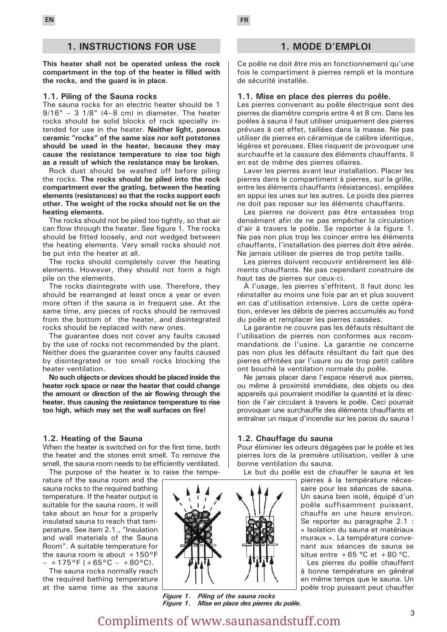#### **1. INSTRUCTIONS FOR USE**

**This heater shall not be operated unless the rock compartment in the top of the heater is filled with the rocks, and the guard is in place.**

#### **1.1. Piling of the Sauna rocks**

The sauna rocks for an electric heater should be 1  $9/16" - 3$   $1/8"$   $(4-8$  cm) in diameter. The heater rocks should be solid blocks of rock specially intended for use in the heater. **Neither light, porous ceramic "rocks" of the same size nor soft potstones should be used in the heater, because they may cause the resistance temperature to rise too high as a result of which the resistance may be broken.**

Rock dust should be washed off before piling the rocks. **The rocks should be piled into the rock compartment over the grating, between the heating elements (resistances) so that the rocks support each other. The weight of the rocks should not lie on the heating elements.**

The rocks should not be piled too tightly, so that air can flow through the heater. See figure 1. The rocks should be fitted loosely, and not wedged between the heating elements. Very small rocks should not be put into the heater at all.

The rocks should completely cover the heating elements. However, they should not form a high pile on the elements.

The rocks disintegrate with use. Therefore, they should be rearranged at least once a year or even more often if the sauna is in frequent use. At the same time, any pieces of rocks should be removed from the bottom of the heater, and disintegrated rocks should be replaced with new ones.

The guarantee does not cover any faults caused by the use of rocks not recommended by the plant. Neither does the guarantee cover any faults caused by disintegrated or too small rocks blocking the heater ventilation.

**No such objects or devices should be placed inside the heater rock space or near the heater that could change the amount or direction of the air flowing through the heater, thus causing the resistance temperature to rise too high, which may set the wall surfaces on fire!**

#### **1.2. Heating of the Sauna**

When the heater is switched on for the first time, both the heater and the stones emit smell. To remove the smell, the sauna room needs to be efficiently ventilated. The purpose of the heater is to raise the tempe-

rature of the sauna room and the sauna rocks to the required bathing temperature. If the heater output is suitable for the sauna room, it will take about an hour for a properly insulated sauna to reach that temperature. See item 2.1., "Insulation and wall materials of the Sauna Room". A suitable temperature for the sauna room is about  $+150^{\circ}$ F  $- +175^{\circ}F (+65^{\circ}C - +80^{\circ}C).$ 

The sauna rocks normally reach the required bathing temperature at the same time as the sauna



*Figure 1. Piling of the sauna rocks Figure 1. Mise en place des pierres du poêle.* 

#### **1. MODE D'EMPLOI**

Ce poêle ne doit être mis en fonctionnement qu'une fois le compartiment à pierres rempli et la monture de sécurité installée.

#### **1.1. Mise en place des pierres du poêle.**

Les pierres convenant au poêle électrique sont des pierres de diamètre compris entre 4 et 8 cm. Dans les poêles à sauna il faut utiliser uniquement des pierres prévues à cet effet, taillées dans la masse. Ne pas utiliser de pierres en céramique de calibre identique, légères et poreuses. Elles risquent de provoquer une surchauffe et la cassure des éléments chauffants. Il en est de même des pierres ollaires.

Laver les pierres avant leur installation. Placer les pierres dans le compartiment à pierres, sur la grille, entre les éléments chauffants (résistances), empilées en appui les unes sur les autres. Le poids des pierres ne doit pas reposer sur les éléments chauffants.

Les pierres ne doivent pas être entassées trop densément afin de ne pas empêcher la circulation d'air à travers le poêle. Se reporter à la figure 1. Ne pas non plus trop les coincer entre les éléments chauffants, l'installation des pierres doit être aérée. Ne jamais utiliser de pierres de trop petite taille.

Les pierres doivent recouvrir entièrement les éléments chauffants. Ne pas cependant construire de haut tas de pierres sur ceux-ci.

À l'usage, les pierres s'effritent. Il faut donc les réinstaller au moins une fois par an et plus souvent en cas d'utilisation intensive. Lors de cette opération, enlever les débris de pierres accumulés au fond du poêle et remplacer les pierres cassées.

La garantie ne couvre pas les défauts résultant de l'utilisation de pierres non conformes aux recommandations de l'usine. La garantie ne concerne pas non plus les défauts résultant du fait que des pierres effritées par l'usure ou de trop petit calibre ont bouché la ventilation normale du poêle.

Ne jamais placer dans l'espace réservé aux pierres, ou même à proximité immédiate, des objets ou des appareils qui pourraient modifier la quantité et la direction de l'air circulant à travers le poêle. Ceci pourrait provoquer une surchauffe des éléments chauffants et entraîner un risque d'incendie sur les parois du sauna !

#### **1.2. Chauffage du sauna**

Pour éliminer les odeurs dégagées par le poêle et les pierres lors de la première utilisation, veiller à une bonne ventilation du sauna.

Le but du poêle est de chauffer le sauna et les

pierres à la température nécessaire pour les séances de sauna. Un sauna bien isolé, équipé d'un poêle suffisamment puissant, chauffe en une heure environ. Se reporter au paragraphe 2.1 : « Isolation du sauna et matériaux muraux ». La température convenant aux séances de sauna se situe entre  $+65$  °C et  $+80$  °C.

Les pierres du poêle chauffent à bonne température en général en même temps que le sauna. Un poêle trop puissant peut chauffer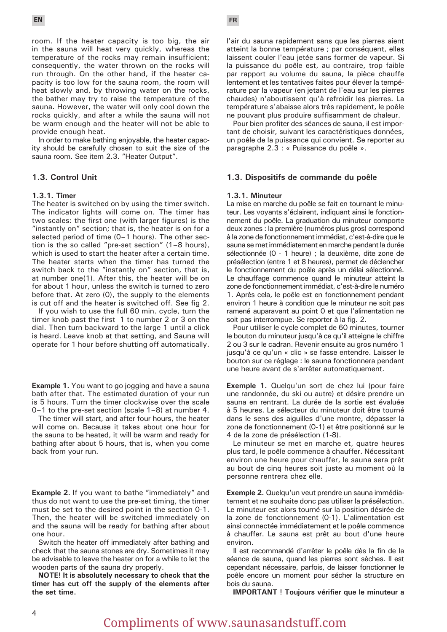room. If the heater capacity is too big, the air in the sauna will heat very quickly, whereas the temperature of the rocks may remain insufficient; consequently, the water thrown on the rocks will run through. On the other hand, if the heater capacity is too low for the sauna room, the room will heat slowly and, by throwing water on the rocks, the bather may try to raise the temperature of the sauna. However, the water will only cool down the rocks quickly, and after a while the sauna will not be warm enough and the heater will not be able to provide enough heat.

In order to make bathing enjoyable, the heater capacity should be carefully chosen to suit the size of the sauna room. See item 2.3. "Heater Output".

#### **1.3. Control Unit**

#### **1.3.1. Timer**

The heater is switched on by using the timer switch. The indicator lights will come on. The timer has two scales: the first one (with larger figures) is the "instantly on" section; that is, the heater is on for a selected period of time (0–1 hours). The other section is the so called "pre-set section" (1–8 hours), which is used to start the heater after a certain time. The heater starts when the timer has turned the switch back to the "instantly on" section, that is, at number one(1). After this, the heater will be on for about 1 hour, unless the switch is turned to zero before that. At zero (0), the supply to the elements is cut off and the heater is switched off. See fig 2.

If you wish to use the full 60 min. cycle, turn the timer knob past the first 1 to number 2 or 3 on the dial. Then turn backward to the large 1 until a click is heard. Leave knob at that setting, and Sauna will operate for 1 hour before shutting off automatically.

**Example 1.** You want to go jogging and have a sauna bath after that. The estimated duration of your run is 5 hours. Turn the timer clockwise over the scale 0–1 to the pre-set section (scale 1–8) at number 4.

The timer will start, and after four hours, the heater will come on. Because it takes about one hour for the sauna to be heated, it will be warm and ready for bathing after about 5 hours, that is, when you come back from your run.

**Example 2.** If you want to bathe "immediately" and thus do not want to use the pre-set timing, the timer must be set to the desired point in the section 0-1. Then, the heater will be switched immediately on and the sauna will be ready for bathing after about one hour.

Switch the heater off immediately after bathing and check that the sauna stones are dry. Sometimes it may be advisable to leave the heater on for a while to let the wooden parts of the sauna dry properly.

**NOTE! It is absolutely necessary to check that the timer has cut off the supply of the elements after the set time.**

l'air du sauna rapidement sans que les pierres aient atteint la bonne température ; par conséquent, elles laissent couler l'eau jetée sans former de vapeur. Si la puissance du poêle est, au contraire, trop faible par rapport au volume du sauna, la pièce chauffe lentement et les tentatives faites pour élever la température par la vapeur (en jetant de l'eau sur les pierres chaudes) n'aboutissent qu'à refroidir les pierres. La température s'abaisse alors très rapidement, le poêle ne pouvant plus produire suffisamment de chaleur.

Pour bien profiter des séances de sauna, il est important de choisir, suivant les caractéristiques données, un poêle de la puissance qui convient. Se reporter au paragraphe 2.3 : « Puissance du poêle ».

#### **1.3. Dispositifs de commande du poêle**

#### **1.3.1. Minuteur**

La mise en marche du poêle se fait en tournant le minuteur. Les voyants s'éclairent, indiquant ainsi le fonctionnement du poêle. La graduation du minuteur comporte deux zones : la première (numéros plus gros) correspond à la zone de fonctionnement immédiat, c'est-à-dire que le sauna se met immédiatement en marche pendant la durée sélectionnée (0 - 1 heure) ; la deuxième, dite zone de présélection (entre 1 et 8 heures), permet de déclencher le fonctionnement du poêle après un délai sélectionné. Le chauffage commence quand le minuteur atteint la zone de fonctionnement immédiat, c'est-à-dire le numéro 1. Après cela, le poêle est en fonctionnement pendant environ 1 heure à condition que le minuteur ne soit pas ramené auparavant au point 0 et que l'alimentation ne soit pas interrompue. Se reporter à la fig. 2.

Pour utiliser le cycle complet de 60 minutes, tourner le bouton du minuteur jusqu'à ce qu'il atteigne le chiffre 2 ou 3 sur le cadran. Revenir ensuite au gros numéro 1 jusqu'à ce qu'un « clic » se fasse entendre. Laisser le bouton sur ce réglage : le sauna fonctionnera pendant une heure avant de s'arrêter automatiquement.

**Exemple 1.** Quelqu'un sort de chez lui (pour faire une randonnée, du ski ou autre) et désire prendre un sauna en rentrant. La durée de la sortie est évaluée à 5 heures. Le sélecteur du minuteur doit être tourné dans le sens des aiguilles d'une montre, dépasser la zone de fonctionnement (0-1) et être positionné sur le 4 de la zone de présélection (1-8).

Le minuteur se met en marche et, quatre heures plus tard, le poêle commence à chauffer. Nécessitant environ une heure pour chauffer, le sauna sera prêt au bout de cinq heures soit juste au moment où la personne rentrera chez elle.

**Exemple 2.** Quelqu'un veut prendre un sauna immédiatement et ne souhaite donc pas utiliser la présélection. Le minuteur est alors tourné sur la position désirée de la zone de fonctionnement (0-1). L'alimentation est ainsi connectée immédiatement et le poêle commence à chauffer. Le sauna est prêt au bout d'une heure environ.

Il est recommandé d'arrêter le poêle dès la fin de la séance de sauna, quand les pierres sont sèches. Il est cependant nécessaire, parfois, de laisser fonctionner le poêle encore un moment pour sécher la structure en bois du sauna.

**IMPORTANT ! Toujours vérifier que le minuteur a**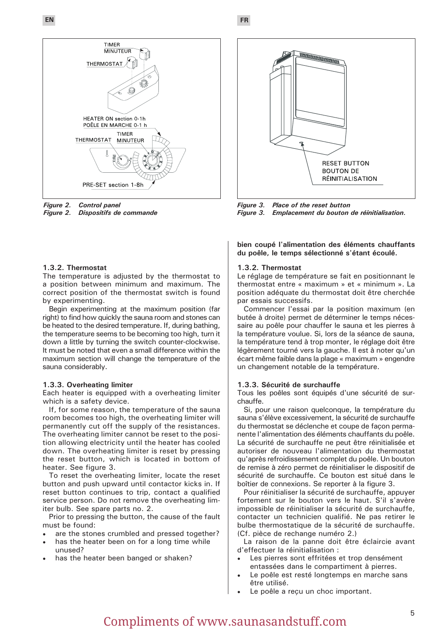**EN FR**



*Figure 2. Control panel* **Dispositifs de commande** 

#### **1.3.2. Thermostat**

The temperature is adjusted by the thermostat to a position between minimum and maximum. The correct position of the thermostat switch is found by experimenting.

Begin experimenting at the maximum position (far right) to find how quickly the sauna room and stones can be heated to the desired temperature. If, during bathing, the temperature seems to be becoming too high, turn it down a little by turning the switch counter-clockwise. It must be noted that even a small difference within the maximum section will change the temperature of the sauna considerably.

#### **1.3.3. Overheating limiter**

Each heater is equipped with a overheating limiter which is a safety device.

If, for some reason, the temperature of the sauna room becomes too high, the overheating limiter will permanently cut off the supply of the resistances. The overheating limiter cannot be reset to the position allowing electricity until the heater has cooled down. The overheating limiter is reset by pressing the reset button, which is located in bottom of heater. See figure 3.

To reset the overheating limiter, locate the reset button and push upward until contactor kicks in. If reset button continues to trip, contact a qualified service person. Do not remove the overheating limiter bulb. See spare parts no. 2.

Prior to pressing the button, the cause of the fault must be found:

- are the stones crumbled and pressed together?
- has the heater been on for a long time while unused?
- has the heater been banged or shaken?



*Figure 3. Place of the reset button Emplacement du bouton de réinitialisation.* 

**bien coupé l'alimentation des éléments chauffants du poêle, le temps sélectionné s'étant écoulé.** 

#### **1.3.2. Thermostat**

Le réglage de température se fait en positionnant le thermostat entre « maximum » et « minimum ». La position adéquate du thermostat doit être cherchée par essais successifs.

Commencer l'essai par la position maximum (en butée à droite) permet de déterminer le temps nécessaire au poêle pour chauffer le sauna et les pierres à la température voulue. Si, lors de la séance de sauna, la température tend à trop monter, le réglage doit être légèrement tourné vers la gauche. Il est à noter qu'un écart même faible dans la plage « maximum » engendre un changement notable de la température.

#### **1.3.3. Sécurité de surchauffe**

Tous les poêles sont équipés d'une sécurité de surchauffe.

Si, pour une raison quelconque, la température du sauna s'élève excessivement, la sécurité de surchauffe du thermostat se déclenche et coupe de façon permanente l'alimentation des éléments chauffants du poêle. La sécurité de surchauffe ne peut être réinitialisée et autoriser de nouveau l'alimentation du thermostat qu'après refroidissement complet du poêle. Un bouton de remise à zéro permet de réinitialiser le dispositif de sécurité de surchauffe. Ce bouton est situé dans le boîtier de connexions. Se reporter à la figure 3.

Pour réinitialiser la sécurité de surchauffe, appuyer fortement sur le bouton vers le haut. S'il s'avère impossible de réinitialiser la sécurité de surchauffe, contacter un technicien qualifié. Ne pas retirer le bulbe thermostatique de la sécurité de surchauffe. (Cf. pièce de rechange numéro 2.)

La raison de la panne doit être éclaircie avant d'effectuer la réinitialisation :

- Les pierres sont effritées et trop densément entassées dans le compartiment à pierres.
- Le poêle est resté longtemps en marche sans être utilisé.
- Le poêle a reçu un choc important.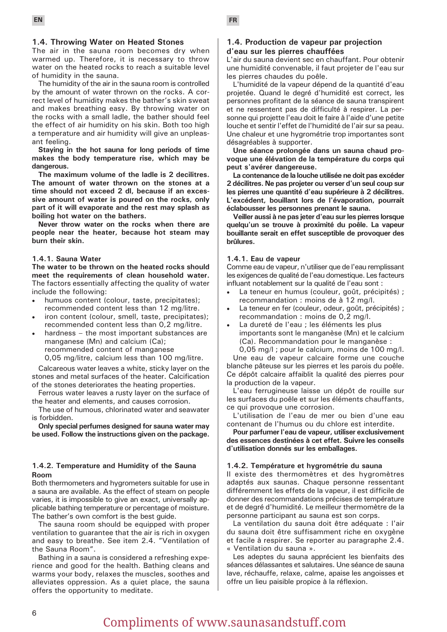#### **1.4. Throwing Water on Heated Stones**

The air in the sauna room becomes dry when warmed up. Therefore, it is necessary to throw water on the heated rocks to reach a suitable level of humidity in the sauna.

The humidity of the air in the sauna room is controlled by the amount of water thrown on the rocks. A correct level of humidity makes the bather's skin sweat and makes breathing easy. By throwing water on the rocks with a small ladle, the bather should feel the effect of air humidity on his skin. Both too high a temperature and air humidity will give an unpleasant feeling.

**Staying in the hot sauna for long periods of time makes the body temperature rise, which may be dangerous.**

**The maximum volume of the ladle is 2 decilitres. The amount of water thrown on the stones at a time should not exceed 2 dl, because if an excessive amount of water is poured on the rocks, only part of it will evaporate and the rest may splash as boiling hot water on the bathers.**

**Never throw water on the rocks when there are people near the heater, because hot steam may burn their skin.**

#### **1.4.1. Sauna Water**

**The water to be thrown on the heated rocks should meet the requirements of clean household water.**  The factors essentially affecting the quality of water include the following:

- humuos content (colour, taste, precipitates); recommended content less than 12 mg/litre.
- iron content (colour, smell, taste, precipitates); recommended content less than 0,2 mg/litre.
- hardness  $-$  the most important substances are manganese (Mn) and calcium (Ca); recommended content of manganese 0,05 mg/litre, calcium less than 100 mg/litre.

Calcareous water leaves a white, sticky layer on the stones and metal surfaces of the heater. Calcification of the stones deteriorates the heating properties.

Ferrous water leaves a rusty layer on the surface of the heater and elements, and causes corrosion.

The use of humous, chlorinated water and seawater is forbidden.

**Only special perfumes designed for sauna water may be used. Follow the instructions given on the package.**

#### **1.4.2. Temperature and Humidity of the Sauna Room**

Both thermometers and hygrometers suitable for use in a sauna are available. As the effect of steam on people varies, it is impossible to give an exact, universally applicable bathing temperature or percentage of moisture. The bather's own comfort is the best guide.

The sauna room should be equipped with proper ventilation to guarantee that the air is rich in oxygen and easy to breathe. See item 2.4. "Ventilation of the Sauna Room".

Bathing in a sauna is considered a refreshing experience and good for the health. Bathing cleans and warms your body, relaxes the muscles, soothes and alleviates oppression. As a quiet place, the sauna offers the opportunity to meditate.

#### **1.4. Production de vapeur par projection d'eau sur les pierres chauffées**

L'air du sauna devient sec en chauffant. Pour obtenir une humidité convenable, il faut projeter de l'eau sur les pierres chaudes du poêle.

L'humidité de la vapeur dépend de la quantité d'eau projetée. Quand le degré d'humidité est correct, les personnes profitant de la séance de sauna transpirent et ne ressentent pas de difficulté à respirer. La personne qui projette l'eau doit le faire à l'aide d'une petite louche et sentir l'effet de l'humidité de l'air sur sa peau. Une chaleur et une hygrométrie trop importantes sont désagréables à supporter.

**Une séance prolongée dans un sauna chaud provoque une élévation de la température du corps qui peut s'avérer dangereuse.** 

**La contenance de la louche utilisée ne doit pas excéder 2 décilitres. Ne pas projeter ou verser d'un seul coup sur les pierres une quantité d'eau supérieure à 2 décilitres. L'excédent, bouillant lors de l'évaporation, pourrait éclabousser les personnes prenant le sauna.** 

**Veiller aussi à ne pas jeter d'eau sur les pierres lorsque quelqu'un se trouve à proximité du poêle. La vapeur bouillante serait en effet susceptible de provoquer des brûlures.** 

#### **1.4.1. Eau de vapeur**

Comme eau de vapeur, n'utiliser que de l'eau remplissant les exigences de qualité de l'eau domestique. Les facteurs influant notablement sur la qualité de l'eau sont :

- La teneur en humus (couleur, goût, précipités) ; recommandation : moins de à 12 mg/l.
- La teneur en fer (couleur, odeur, goût, précipités) ; recommandation : moins de 0,2 mg/l.
- La dureté de l'eau ; les éléments les plus importants sont le manganèse (Mn) et le calcium (Ca). Recommandation pour le manganèse : 0,05 mg/l ; pour le calcium, moins de 100 mg/l.

Une eau de vapeur calcaire forme une couche blanche pâteuse sur les pierres et les parois du poêle. Ce dépôt calcaire affaiblit la qualité des pierres pour la production de la vapeur.

L'eau ferrugineuse laisse un dépôt de rouille sur les surfaces du poêle et sur les éléments chauffants, ce qui provoque une corrosion.

L'utilisation de l'eau de mer ou bien d'une eau contenant de l'humus ou du chlore est interdite.

**Pour parfumer l'eau de vapeur, utiliser exclusivement des essences destinées à cet effet. Suivre les conseils d'utilisation donnés sur les emballages.** 

#### **1.4.2. Température et hygrométrie du sauna**

Il existe des thermomètres et des hygromètres adaptés aux saunas. Chaque personne ressentant différemment les effets de la vapeur, il est difficile de donner des recommandations précises de température et de degré d'humidité. Le meilleur thermomètre de la personne participant au sauna est son corps.

La ventilation du sauna doit être adéquate : l'air du sauna doit être suffisamment riche en oxygène et facile à respirer. Se reporter au paragraphe 2.4. « Ventilation du sauna ».

Les adeptes du sauna apprécient les bienfaits des séances délassantes et salutaires. Une séance de sauna lave, réchauffe, relaxe, calme, apaise les angoisses et offre un lieu paisible propice à la réflexion.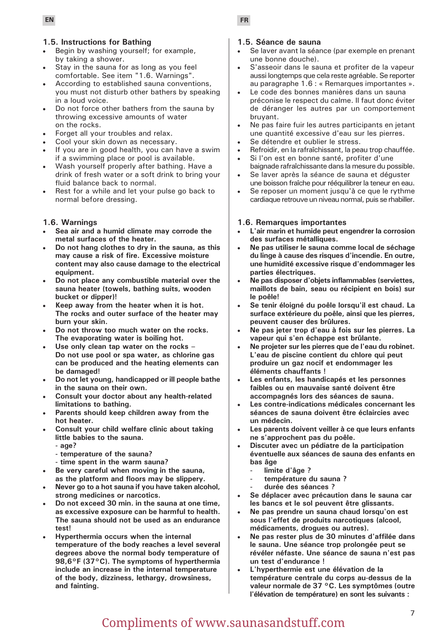#### **1.5. Instructions for Bathing**

- Begin by washing yourself; for example, by taking a shower.
- Stay in the sauna for as long as you feel comfortable. See item "1.6. Warnings".
- According to established sauna conventions, you must not disturb other bathers by speaking in a loud voice.
- Do not force other bathers from the sauna by throwing excessive amounts of water on the rocks.
- Forget all your troubles and relax.
- Cool your skin down as necessary.
- If you are in good health, you can have a swim if a swimming place or pool is available.
- Wash yourself properly after bathing. Have a drink of fresh water or a soft drink to bring your fluid balance back to normal.
- Rest for a while and let your pulse go back to normal before dressing.

#### **1.6. Warnings**

- Sea air and a humid climate may corrode the **metal surfaces of the heater.**
- Do not hang clothes to dry in the sauna, as this **may cause a risk of fire. Excessive moisture content may also cause damage to the electrical equipment.**
- Do not place any combustible material over the **sauna heater (towels, bathing suits, wooden bucket or dipper)!**
- Keep away from the heater when it is hot. **The rocks and outer surface of the heater may burn your skin.**
- Do not throw too much water on the rocks. **The evaporating water is boiling hot.**
- Use only clean tap water on the rocks -**Do not use pool or spa water, as chlorine gas can be produced and the heating elements can be damaged!**
- Do not let young, handicapped or ill people bathe **in the sauna on their own.**
- **Consult your doctor about any health-related limitations to bathing.**
- Parents should keep children away from the **hot heater.**
- **Consult your child welfare clinic about taking little babies to the sauna.**
	- **age?**
	- **temperature of the sauna?**
	- **time spent in the warm sauna?**
- Be very careful when moving in the sauna, **as the platform and floors may be slippery.**
- Never go to a hot sauna if you have taken alcohol, **strong medicines or narcotics.**
- Do not exceed 30 min. in the sauna at one time, **as excessive exposure can be harmful to health. The sauna should not be used as an endurance test!**
- **Hyperthermia occurs when the internal temperature of the body reaches a level several degrees above the normal body temperature of 98,6°F (37°C). The symptoms of hyperthermia include an increase in the internal temperature of the body, dizziness, lethargy, drowsiness, and fainting.**

#### **1.5. Séance de sauna**

- Se laver avant la séance (par exemple en prenant une bonne douche).
- S'asseoir dans le sauna et profiter de la vapeur aussi longtemps que cela reste agréable. Se reporter au paragraphe 1.6 : « Remarques importantes ».
- Le code des bonnes manières dans un sauna préconise le respect du calme. Il faut donc éviter de déranger les autres par un comportement bruyant.
- Ne pas faire fuir les autres participants en jetant une quantité excessive d'eau sur les pierres.
- Se détendre et oublier le stress.
- Refroidir, en la rafraîchissant, la peau trop chauffée.
- Si l'on est en bonne santé, profiter d'une baignade rafraîchissante dans la mesure du possible.
- Se laver après la séance de sauna et déquster une boisson fraîche pour rééquilibrer la teneur en eau.
- Se reposer un moment jusqu'à ce que le rythme cardiaque retrouve un niveau normal, puis se rhabiller.

#### **1.6. Remarques importantes**

- **L'air marin et humide peut engendrer la corrosion des surfaces métalliques.**
- **• Ne pas utiliser le sauna comme local de séchage du linge à cause des risques d'incendie. En outre, une humidité excessive risque d'endommager les parties électriques.**
- **• Ne pas disposer d'objets inflammables (serviettes, maillots de bain, seau ou récipient en bois) sur le poêle!**
- **• Se tenir éloigné du poêle lorsqu'il est chaud. La surface extérieure du poêle, ainsi que les pierres, peuvent causer des brûlures.**
- **• Ne pas jeter trop d'eau à fois sur les pierres. La vapeur qui s'en échappe est brûlante.**
- **• Ne projeter sur les pierres que de l'eau du robinet. L'eau de piscine contient du chlore qui peut produire un gaz nocif et endommager les éléments chauffants !**
- Les enfants, les handicapés et les personnes **faibles ou en mauvaise santé doivent être accompagnés lors des séances de sauna.**
- Les contre-indications médicales concernant les **séances de sauna doivent être éclaircies avec un médecin.**
- Les parents doivent veiller à ce que leurs enfants **ne s'approchent pas du poêle.**
- **Discuter avec un pédiatre de la participation éventuelle aux séances de sauna des enfants en bas âge** 
	- **- limite d'âge ?**
	- **- température du sauna ?**
	- **- durée des séances ?**
- **Se déplacer avec précaution dans le sauna car les bancs et le sol peuvent être glissants.**
- Ne pas prendre un sauna chaud lorsqu'on est **sous l'effet de produits narcotiques (alcool, médicaments, drogues ou autres).**
- **• Ne pas rester plus de 30 minutes d'affilée dans le sauna. Une séance trop prolongée peut se révéler néfaste. Une séance de sauna n'est pas un test d'endurance !**
- **• L'hyperthermie est une élévation de la température centrale du corps au-dessus de la valeur normale de 37 °C. Les symptômes (outre l'élévation de température) en sont les suivants :**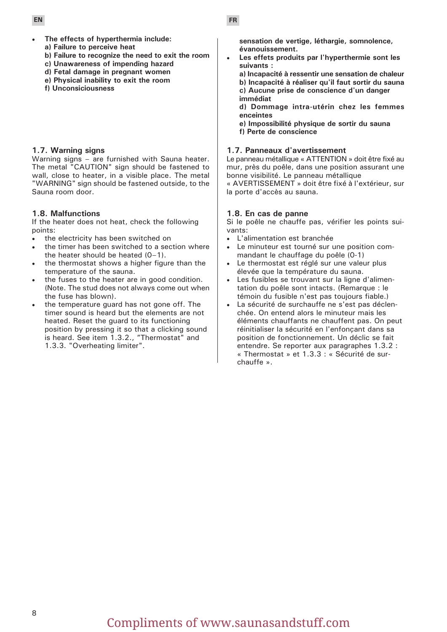- 
- The effects of hyperthermia include: **a) Failure to perceive heat**
- **b) Failure to recognize the need to exit the room**
- **c) Unawareness of impending hazard**
- **d) Fetal damage in pregnant women**
- **e) Physical inability to exit the room**
- **f) Unconsiciousness**

#### **1.7. Warning signs**

Warning signs – are furnished with Sauna heater. The metal "CAUTION" sign should be fastened to wall, close to heater, in a visible place. The metal "WARNING" sign should be fastened outside, to the Sauna room door.

### **1.8. Malfunctions**

If the heater does not heat, check the following points:

- the electricity has been switched on
- the timer has been switched to a section where the heater should be heated (0–1).
- the thermostat shows a higher figure than the temperature of the sauna.
- the fuses to the heater are in good condition. (Note. The stud does not always come out when the fuse has blown).
- the temperature guard has not gone off. The timer sound is heard but the elements are not heated. Reset the guard to its functioning position by pressing it so that a clicking sound is heard. See item 1.3.2., "Thermostat" and 1.3.3. "Overheating limiter".

**sensation de vertige, léthargie, somnolence, évanouissement.** 

Les effets produits par l'hyperthermie sont les **suivants :** 

**a) Incapacité à ressentir une sensation de chaleur b) Incapacité à réaliser qu'il faut sortir du sauna c) Aucune prise de conscience d'un danger immédiat** 

**d) Dommage intra-utérin chez les femmes enceintes** 

**e) Impossibilité physique de sortir du sauna f) Perte de conscience** 

#### **1.7. Panneaux d'avertissement**

Le panneau métallique « ATTENTION » doit être fixé au mur, près du poêle, dans une position assurant une bonne visibilité. Le panneau métallique

« AVERTISSEMENT » doit être fixé à l'extérieur, sur la porte d'accès au sauna.

### **1.8. En cas de panne**

Si le poêle ne chauffe pas, vérifier les points suivants:

- L'alimentation est branchée
- Le minuteur est tourné sur une position commandant le chauffage du poêle (0-1)
- Le thermostat est réglé sur une valeur plus élevée que la température du sauna.
- Les fusibles se trouvant sur la ligne d'alimentation du poêle sont intacts. (Remarque : le témoin du fusible n'est pas toujours fiable.)
- La sécurité de surchauffe ne s'est pas déclenchée. On entend alors le minuteur mais les éléments chauffants ne chauffent pas. On peut réinitialiser la sécurité en l'enfonçant dans sa position de fonctionnement. Un déclic se fait entendre. Se reporter aux paragraphes 1.3.2 : « Thermostat » et 1.3.3 : « Sécurité de surchauffe ».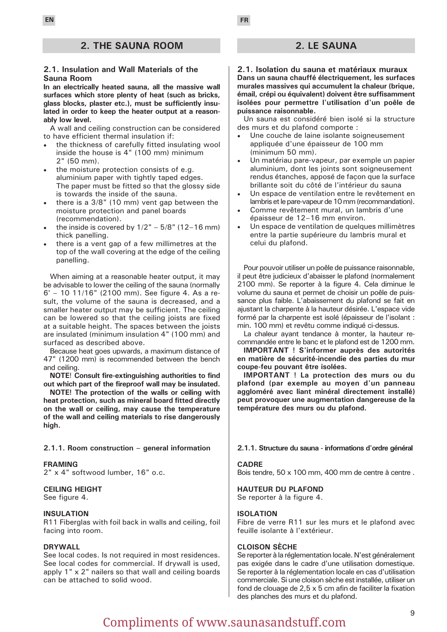#### **2. THE SAUNA ROOM**

#### **2.1. Insulation and Wall Materials of the Sauna Room**

**In an electrically heated sauna, all the massive wall surfaces which store plenty of heat (such as bricks, glass blocks, plaster etc.), must be sufficiently insulated in order to keep the heater output at a reasonably low level.**

A wall and ceiling construction can be considered to have efficient thermal insulation if:

- the thickness of carefully fitted insulating wool inside the house is 4" (100 mm) minimum 2" (50 mm).
- the moisture protection consists of e.g. aluminium paper with tightly taped edges. The paper must be fitted so that the glossy side is towards the inside of the sauna.
- • there is a 3/8" (10 mm) vent gap between the moisture protection and panel boards (recommendation).
- the inside is covered by  $1/2" 5/8"$  (12–16 mm) thick panelling.
- there is a vent gap of a few millimetres at the top of the wall covering at the edge of the ceiling panelling.

When aiming at a reasonable heater output, it may be advisable to lower the ceiling of the sauna (normally 6' – 10 11/16" (2100 mm). See figure 4. As a result, the volume of the sauna is decreased, and a smaller heater output may be sufficient. The ceiling can be lowered so that the ceiling joists are fixed at a suitable height. The spaces between the joists are insulated (minimum insulation 4" (100 mm) and surfaced as described above.

Because heat goes upwards, a maximum distance of 47" (1200 mm) is recommended between the bench and ceiling.

**NOTE**! **Consult fire-extinguishing authorities to find out which part of the fireproof wall may be insulated.** 

**NOTE! The protection of the walls or ceiling with heat protection, such as mineral board fitted directly on the wall or ceiling, may cause the temperature of the wall and ceiling materials to rise dangerously high.**

#### **2.1.1. Room construction – general information**

#### **FRAMING**

2" x 4" softwood lumber, 16" o.c.

#### **CEILING HEIGHT**

See figure 4.

#### **INSULATION**

R11 Fiberglas with foil back in walls and ceiling, foil facing into room.

#### **DRYWALL**

See local codes. Is not required in most residences. See local codes for commercial. If drywall is used, apply 1" x 2" nailers so that wall and ceiling boards can be attached to solid wood.

#### **2. LE SAUNA**

**2.1. Isolation du sauna et matériaux muraux Dans un sauna chauffé électriquement, les surfaces murales massives qui accumulent la chaleur (brique, émail, crépi ou équivalent) doivent être suffisamment isolées pour permettre l'utilisation d'un poêle de puissance raisonnable.**

Un sauna est considéré bien isolé si la structure des murs et du plafond comporte :

- Une couche de laine isolante soigneusement appliquée d'une épaisseur de 100 mm (minimum 50 mm).
- Un matériau pare-vapeur, par exemple un papier aluminium, dont les joints sont soigneusement rendus étanches, apposé de façon que la surface brillante soit du côté de l'intérieur du sauna
- Un espace de ventilation entre le revêtement en lambris et le pare-vapeur de 10 mm (recommandation).
- Comme revêtement mural, un lambris d'une épaisseur de 12–16 mm environ.
- Un espace de ventilation de quelques millimètres entre la partie supérieure du lambris mural et celui du plafond.

Pour pouvoir utiliser un poêle de puissance raisonnable, il peut être judicieux d'abaisser le plafond (normalement 2100 mm). Se reporter à la figure 4. Cela diminue le volume du sauna et permet de choisir un poêle de puissance plus faible. L'abaissement du plafond se fait en ajustant la charpente à la hauteur désirée. L'espace vide formé par la charpente est isolé (épaisseur de l'isolant : min. 100 mm) et revêtu comme indiqué ci-dessus.

La chaleur ayant tendance à monter, la hauteur recommandée entre le banc et le plafond est de 1200 mm.

**IMPORTANT ! S'informer auprès des autorités en matière de sécurité-incendie des parties du mur coupe-feu pouvant être isolées.** 

**IMPORTANT ! La protection des murs ou du plafond (par exemple au moyen d'un panneau aggloméré avec liant minéral directement installé) peut provoquer une augmentation dangereuse de la température des murs ou du plafond.**

#### **2.1.1. Structure du sauna - informations d'ordre général**

#### **CADRE**

Bois tendre, 50 x 100 mm, 400 mm de centre à centre .

**HAUTEUR DU PLAFOND**  Se reporter à la figure 4.

#### **ISOLATION**

Fibre de verre R11 sur les murs et le plafond avec feuille isolante à l'extérieur.

#### **CLOISON SÈCHE**

Se reporter à la réglementation locale. N'est généralement pas exigée dans le cadre d'une utilisation domestique. Se reporter à la réglementation locale en cas d'utilisation commerciale. Si une cloison sèche est installée, utiliser un fond de clouage de 2,5 x 5 cm afin de faciliter la fixation des planches des murs et du plafond.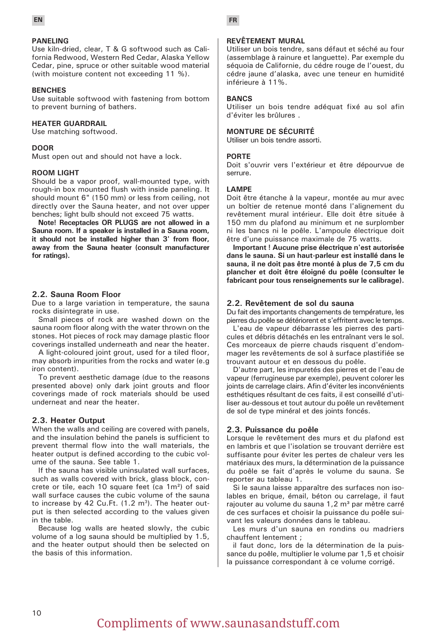

#### **PANELING**

Use kiln-dried, clear, T & G softwood such as California Redwood, Western Red Cedar, Alaska Yellow Cedar, pine, spruce or other suitable wood material (with moisture content not exceeding 11 %).

#### **BENCHES**

Use suitable softwood with fastening from bottom to prevent burning of bathers.

#### **HEATER GUARDRAIL**

Use matching softwood.

#### **DOOR**

Must open out and should not have a lock.

#### **ROOM LIGHT**

Should be a vapor proof, wall-mounted type, with rough-in box mounted flush with inside paneling. It should mount 6" (150 mm) or less from ceiling, not directly over the Sauna heater, and not over upper benches; light bulb should not exceed 75 watts.

**Note! Receptacles OR PLUGS are not allowed in a Sauna room. If a speaker is installed in a Sauna room, it should not be installed higher than 3' from floor, away from the Sauna heater (consult manufacturer for ratings).**

#### **2.2. Sauna Room Floor**

Due to a large variation in temperature, the sauna rocks disintegrate in use.

Small pieces of rock are washed down on the sauna room floor along with the water thrown on the stones. Hot pieces of rock may damage plastic floor coverings installed underneath and near the heater.

A light-coloured joint grout, used for a tiled floor, may absorb impurities from the rocks and water (e.g iron content).

To prevent aesthetic damage (due to the reasons presented above) only dark joint grouts and floor coverings made of rock materials should be used underneat and near the heater.

#### **2.3. Heater Output**

When the walls and ceiling are covered with panels, and the insulation behind the panels is sufficient to prevent thermal flow into the wall materials, the heater output is defined according to the cubic volume of the sauna. See table 1.

If the sauna has visible uninsulated wall surfaces, such as walls covered with brick, glass block, concrete or tile, each 10 square feet (ca 1m²) of said wall surface causes the cubic volume of the sauna to increase by 42 Cu.Ft.  $(1.2 \text{ m}^3)$ . The heater output is then selected according to the values given in the table.

Because log walls are heated slowly, the cubic volume of a log sauna should be multiplied by 1.5, and the heater output should then be selected on the basis of this information.

#### **REVÊTEMENT MURAL**

Utiliser un bois tendre, sans défaut et séché au four (assemblage à rainure et languette). Par exemple du séquoia de Californie, du cédre rouge de l'ouest, du cédre jaune d'alaska, avec une teneur en humidité inférieure à 11%.

#### **BANCS**

Utiliser un bois tendre adéquat fixé au sol afin d'éviter les brûlures .

#### **MONTURE DE SÉCURITÉ**

Utiliser un bois tendre assorti.

#### **PORTE**

Doit s'ouvrir vers l'extérieur et être dépourvue de serrure.

#### **LAMPE**

Doit être étanche à la vapeur, montée au mur avec un boîtier de retenue monté dans l'alignement du revêtement mural intérieur. Elle doit être située à 150 mm du plafond au minimum et ne surplomber ni les bancs ni le poêle. L'ampoule électrique doit être d'une puissance maximale de 75 watts.

**Important ! Aucune prise électrique n'est autorisée dans le sauna. Si un haut-parleur est installé dans le sauna, il ne doit pas être monté à plus de 7,5 cm du plancher et doit être éloigné du poêle (consulter le fabricant pour tous renseignements sur le calibrage).** 

#### **2.2. Revêtement de sol du sauna**

Du fait des importants changements de température, les pierres du poêle se détériorent et s'effritent avec le temps.

L'eau de vapeur débarrasse les pierres des particules et débris détachés en les entraînant vers le sol. Ces morceaux de pierre chauds risquent d'endommager les revêtements de sol à surface plastifiée se trouvant autour et en dessous du poêle.

D'autre part, les impuretés des pierres et de l'eau de vapeur (ferrugineuse par exemple), peuvent colorer les joints de carrelage clairs. Afin d'éviter les inconvénients esthétiques résultant de ces faits, il est conseillé d'utiliser au-dessous et tout autour du poêle un revêtement de sol de type minéral et des joints foncés.

#### **2.3. Puissance du poêle**

Lorsque le revêtement des murs et du plafond est en lambris et que l'isolation se trouvant derrière est suffisante pour éviter les pertes de chaleur vers les matériaux des murs, la détermination de la puissance du poêle se fait d'après le volume du sauna. Se reporter au tableau 1.

Si le sauna laisse apparaître des surfaces non isolables en brique, émail, béton ou carrelage, il faut rajouter au volume du sauna 1,2 m<sup>3</sup> par mètre carré de ces surfaces et choisir la puissance du poêle suivant les valeurs données dans le tableau.

Les murs d'un sauna en rondins ou madriers chauffent lentement ;

il faut donc, lors de la détermination de la puissance du poêle, multiplier le volume par 1,5 et choisir la puissance correspondant à ce volume corrigé.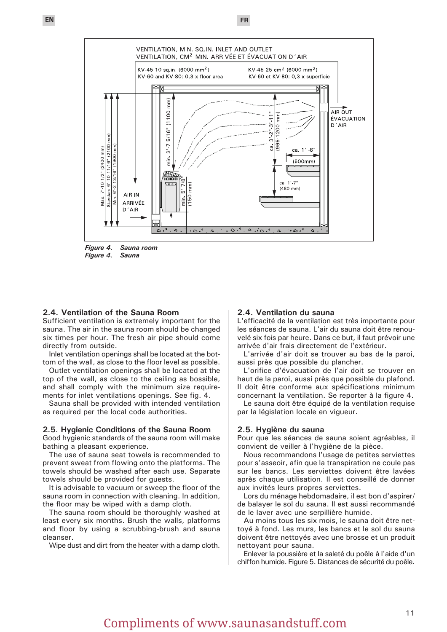



*Figure 4. Sauna*

#### **2.4. Ventilation of the Sauna Room**

Sufficient ventilation is extremely important for the sauna. The air in the sauna room should be changed six times per hour. The fresh air pipe should come directly from outside.

Inlet ventilation openings shall be located at the bottom of the wall, as close to the floor level as possible.

Outlet ventilation openings shall be located at the top of the wall, as close to the ceiling as bossible, and shall comply with the minimum size requirements for inlet ventilations openings. See fig. 4.

Sauna shall be provided with intended ventilation as required per the local code authorities.

#### **2.5. Hygienic Conditions of the Sauna Room**

Good hygienic standards of the sauna room will make bathing a pleasant experience.

The use of sauna seat towels is recommended to prevent sweat from flowing onto the platforms. The towels should be washed after each use. Separate towels should be provided for guests.

It is advisable to vacuum or sweep the floor of the sauna room in connection with cleaning. In addition, the floor may be wiped with a damp cloth.

The sauna room should be thoroughly washed at least every six months. Brush the walls, platforms and floor by using a scrubbing-brush and sauna cleanser.

Wipe dust and dirt from the heater with a damp cloth.

#### **2.4. Ventilation du sauna**

L'efficacité de la ventilation est très importante pour les séances de sauna. L'air du sauna doit être renouvelé six fois par heure. Dans ce but, il faut prévoir une arrivée d'air frais directement de l'extérieur.

L'arrivée d'air doit se trouver au bas de la paroi, aussi près que possible du plancher.

L'orifice d'évacuation de l'air doit se trouver en haut de la paroi, aussi près que possible du plafond. Il doit être conforme aux spécifications minimum concernant la ventilation. Se reporter à la figure 4.

Le sauna doit être équipé de la ventilation requise par la législation locale en vigueur.

#### **2.5. Hygiène du sauna**

Pour que les séances de sauna soient agréables, il convient de veiller à l'hygiène de la pièce.

Nous recommandons l'usage de petites serviettes pour s'asseoir, afin que la transpiration ne coule pas sur les bancs. Les serviettes doivent être lavées après chaque utilisation. Il est conseillé de donner aux invités leurs propres serviettes.

Lors du ménage hebdomadaire, il est bon d'aspirer/ de balayer le sol du sauna. Il est aussi recommandé de le laver avec une serpillière humide.

Au moins tous les six mois, le sauna doit être nettoyé à fond. Les murs, les bancs et le sol du sauna doivent être nettoyés avec une brosse et un produit nettoyant pour sauna.

Enlever la poussière et la saleté du poêle à l'aide d'un chiffon humide. Figure 5. Distances de sécurité du poêle.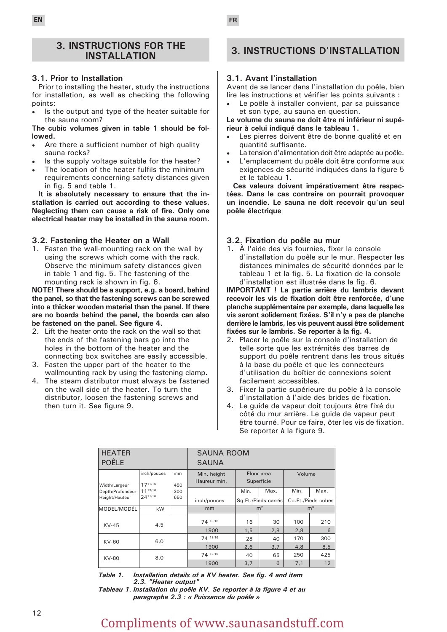#### **3. INSTRUCTIONS FOR THE INSTALLATION**

#### **3.1. Prior to Installation**

Prior to installing the heater, study the instructions for installation, as well as checking the following points:

Is the output and type of the heater suitable for the sauna room?

**The cubic volumes given in table 1 should be followed.**

- Are there a sufficient number of high quality sauna rocks?
- Is the supply voltage suitable for the heater?
- The location of the heater fulfils the minimum requirements concerning safety distances given in fig. 5 and table 1.

**It is absolutely necessary to ensure that the installation is carried out according to these values. Neglecting them can cause a risk of fire. Only one electrical heater may be installed in the sauna room.**

#### **3.2. Fastening the Heater on a Wall**

1. Fasten the wall-mounting rack on the wall by using the screws which come with the rack. Observe the minimum safety distances given in table 1 and fig. 5. The fastening of the mounting rack is shown in fig. 6.

**NOTE! There should be a support, e.g. a board, behind the panel, so that the fastening screws can be screwed into a thicker wooden material than the panel. If there are no boards behind the panel, the boards can also be fastened on the panel. See figure 4.**

- 2. Lift the heater onto the rack on the wall so that the ends of the fastening bars go into the holes in the bottom of the heater and the connecting box switches are easily accessible.
- 3. Fasten the upper part of the heater to the wallmounting rack by using the fastening clamp.
- 4. The steam distributor must always be fastened on the wall side of the heater. To turn the distributor, loosen the fastening screws and then turn it. See figure 9.

## **3. INSTRUCTIONS D'INSTALLATION**

#### **3.1. Avant l'installation**

Avant de se lancer dans l'installation du poêle, bien lire les instructions et vérifier les points suivants :

Le poêle à installer convient, par sa puissance et son type, au sauna en question.

**Le volume du sauna ne doit être ni inférieur ni supérieur à celui indiqué dans le tableau 1.** 

- Les pierres doivent être de bonne qualité et en quantité suffisante.
- La tension d'alimentation doit être adaptée au poêle.
- L'emplacement du poêle doit être conforme aux exigences de sécurité indiquées dans la figure 5 et le tableau 1.

**Ces valeurs doivent impérativement être respectées. Dans le cas contraire on pourrait provoquer un incendie. Le sauna ne doit recevoir qu'un seul poêle électrique** 

#### **3.2. Fixation du poêle au mur**

1. À l'aide des vis fournies, fixer la console d'installation du poêle sur le mur. Respecter les distances minimales de sécurité données par le tableau 1 et la fig. 5. La fixation de la console d'installation est illustrée dans la fig. 6.

**IMPORTANT ! La partie arrière du lambris devant recevoir les vis de fixation doit être renforcée, d'une planche supplémentaire par exemple, dans laquelle les vis seront solidement fixées. S'il n'y a pas de planche derrière le lambris, les vis peuvent aussi être solidement fixées sur le lambris. Se reporter à la fig. 4.**

- 2. Placer le poêle sur la console d'installation de telle sorte que les extrémités des barres de support du poêle rentrent dans les trous situés à la base du poêle et que les connecteurs d'utilisation du boîtier de connexions soient facilement accessibles.
- 3. Fixer la partie supérieure du poêle à la console d'installation à l'aide des brides de fixation.
- 4. Le guide de vapeur doit toujours être fixé du côté du mur arrière. Le guide de vapeur peut être tourné. Pour ce faire, ôter les vis de fixation. Se reporter à la figure 9.

| <b>HEATER</b><br><b>POÊLE</b> |                        |                      | <b>SAUNA ROOM</b><br><b>SAUNA</b> |                          |                     |                    |                |  |
|-------------------------------|------------------------|----------------------|-----------------------------------|--------------------------|---------------------|--------------------|----------------|--|
| Width/Largeur                 | inch/pouces<br>1711/16 | <sub>mm</sub><br>450 | Min. height<br>Haureur min.       | Floor area<br>Superficie |                     | Volume             |                |  |
| Depth/Profondeur              | 1113/16                | 300                  |                                   | Min.                     | Max.                | Min.               | Max.           |  |
| Height/Hauteur                | 2411/16                | 650                  | inch/pouces                       |                          | Sq.Ft./Pieds carrés | Cu.Ft./Pieds cubes |                |  |
| MODEL/MODÉL                   | kW                     |                      | mm                                |                          | m <sup>2</sup>      |                    | m <sup>3</sup> |  |
| $KV-45$                       | 4,5                    |                      | 74 13/16<br>1900                  | 16<br>1,5                | 30<br>2,8           | 100<br>2,8         | 210<br>6       |  |
| KV-60                         | 6,0                    |                      | 74 13/16                          | 28                       | 40                  | 170                | 300            |  |
|                               |                        |                      | 1900                              | 2,6                      | 3.7                 | 4,8                | 8,5            |  |
| KV-80                         | 8,0                    |                      | 74 13/16                          | 40                       | 65                  | 250                | 425            |  |
|                               |                        |                      | 1900                              | 3,7                      | 6                   | 7,1                | 12             |  |

*Table 1. Installation details of a KV heater. See fig. 4 and item 2.3. "Heater output"*

*Tableau 1. Installation du poêle KV. Se reporter à la figure 4 et au paragraphe 2.3 : « Puissance du poêle »*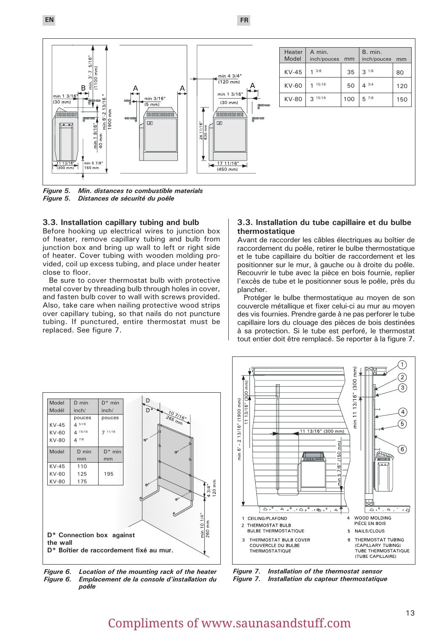**EN FR**



*Figure 5. Min. distances to combustible materials* **Distances de sécurité du poêle** 

#### **3.3. Installation capillary tubing and bulb**

Before hooking up electrical wires to junction box of heater, remove capillary tubing and bulb from junction box and bring up wall to left or right side of heater. Cover tubing with wooden molding provided, coil up excess tubing, and place under heater close to floor.

Be sure to cover thermostat bulb with protective metal cover by threading bulb through holes in cover, and fasten bulb cover to wall with screws provided. Also, take care when nailing protective wood strips over capillary tubing, so that nails do not puncture tubing. If punctured, entire thermostat must be replaced. See figure 7.

#### **3.3. Installation du tube capillaire et du bulbe thermostatique**

Avant de raccorder les câbles électriques au boîtier de raccordement du poêle, retirer le bulbe thermostatique et le tube capillaire du boîtier de raccordement et les positionner sur le mur, à gauche ou à droite du poêle. Recouvrir le tube avec la pièce en bois fournie, replier l'excès de tube et le positionner sous le poêle, près du plancher.

Protéger le bulbe thermostatique au moyen de son couvercle métallique et fixer celui-ci au mur au moyen des vis fournies. Prendre garde à ne pas perforer le tube capillaire lors du clouage des pièces de bois destinées à sa protection. Si le tube est perforé, le thermostat tout entier doit être remplacé. Se reporter à la figure 7.



*Figure 6. Location of the mounting rack of the heater Figure 6. Emplacement de la console d'installation du poêle* 

*Figure 7. Installation of the thermostat sensor Figure 7. Installation du capteur thermostatique* 

 $\left(1\right)$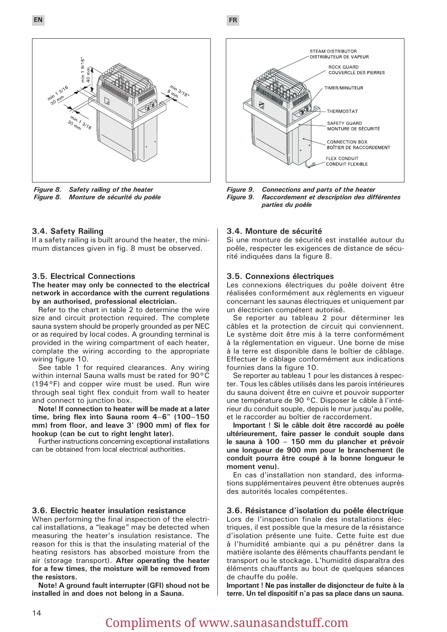



*Figure 8. Safety railing of the heater Figure 8. Monture de sécurité du poêle* 

#### **3.4. Safety Railing**

If a safety railing is built around the heater, the minimum distances given in fig. 8 must be observed.

#### **3.5. Electrical Connections**

**The heater may only be connected to the electrical network in accordance with the current regulations by an authorised, professional electrician.**

Refer to the chart in table 2 to determine the wire size and circuit protection required. The complete sauna system should be properly grounded as per NEC or as required by local codes. A grounding terminal is provided in the wiring compartment of each heater, complate the wiring according to the appropriate wiring figure 10.

See table 1 for required clearances. Any wiring within internal Sauna walls must be rated for 90°C (194°F) and copper wire must be used. Run wire through seal tight flex conduit from wall to heater and connect to junction box.

**Note! If connection to heater will be made at a later time, bring flex into Sauna room 4–6" (100–150 mm) from floor, and leave 3' (900 mm) of flex for hookup (can be cut to right lenght later).**

Further instructions concerning exceptional installations can be obtained from local electrical authorities.

#### **3.6. Electric heater insulation resistance**

When performing the final inspection of the electrical installations, a "leakage" may be detected when measuring the heater's insulation resistance. The reason for this is that the insulating material of the heating resistors has absorbed moisture from the air (storage transport). **After operating the heater for a few times, the moisture will be removed from the resistors.**

**Note! A ground fault interrupter (GFI) shoud not be installed in and does not belong in a Sauna.**



*Figure 9. Connections and parts of the heater Figure 9. Raccordement et description des différentes parties du poêle* 

#### **3.4. Monture de sécurité**

Si une monture de sécurité est installée autour du poêle, respecter les exigences de distance de sécurité indiquées dans la figure 8.

#### **3.5. Connexions électriques**

Les connexions électriques du poêle doivent être réalisées conformément aux règlements en vigueur concernant les saunas électriques et uniquement par un électricien compétent autorisé.

Se reporter au tableau 2 pour déterminer les câbles et la protection de circuit qui conviennent. Le système doit être mis à la terre conformément à la réglementation en vigueur. Une borne de mise à la terre est disponible dans le boîtier de câblage. Effectuer le câblage conformément aux indications fournies dans la figure 10.

Se reporter au tableau 1 pour les distances à respecter. Tous les câbles utilisés dans les parois intérieures du sauna doivent être en cuivre et pouvoir supporter une température de 90 °C. Disposer le câble à l'intérieur du conduit souple, depuis le mur jusqu'au poêle, et le raccorder au boîtier de raccordement.

**Important ! Si le câble doit être raccordé au poêle ultérieurement, faire passer le conduit souple dans le sauna à 100 – 150 mm du plancher et prévoir une longueur de 900 mm pour le branchement (le conduit pourra être coupé à la bonne longueur le moment venu).**

En cas d'installation non standard, des informations supplémentaires peuvent être obtenues auprès des autorités locales compétentes.

#### **3.6. Résistance d'isolation du poêle électrique**

Lors de l'inspection finale des installations électriques, il est possible que la mesure de la résistance d'isolation présente une fuite. Cette fuite est due à l'humidité ambiante qui a pu pénétrer dans la matière isolante des éléments chauffants pendant le transport ou le stockage. L'humidité disparaîtra des éléments chauffants au bout de quelques séances de chauffe du poêle.

**Important ! Ne pas installer de disjoncteur de fuite à la terre. Un tel dispositif n'a pas sa place dans un sauna.**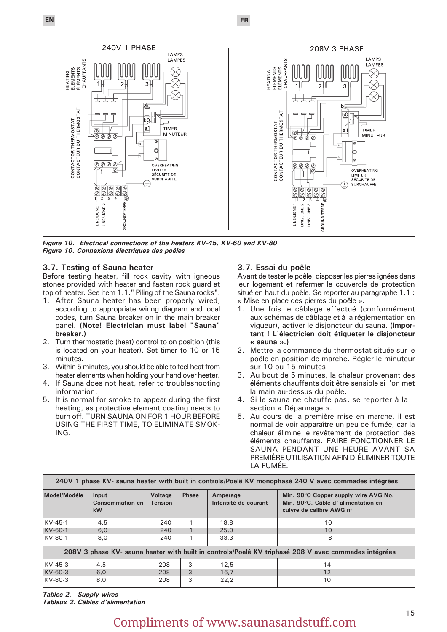**EN FR**



*Figure 10. Electrical connections of the heaters KV-45, KV-60 and KV-80 Figure 10. Connexions électriques des poêles*

#### **3.7. Testing of Sauna heater**

Before testing heater, fill rock cavity with igneous stones provided with heater and fasten rock guard at top of heater. See item 1.1." Piling of the Sauna rocks".

- 1. After Sauna heater has been properly wired, according to appropriate wiring diagram and local codes, turn Sauna breaker on in the main breaker panel. **(Note! Electrician must label "Sauna" breaker.)**
- 2. Turn thermostatic (heat) control to on position (this is located on your heater). Set timer to 10 or 15 minutes.
- 3. Within 5 minutes, you should be able to feel heat from heater elements when holding your hand over heater.
- 4. If Sauna does not heat, refer to troubleshooting information.
- 5. It is normal for smoke to appear during the first heating, as protective element coating needs to burn off. TURN SAUNA ON FOR 1 HOUR BEFORE USING THE FIRST TIME, TO ELIMINATE SMOK-ING.

#### **3.7. Essai du poêle**

Avant de tester le poêle, disposer les pierres ignées dans leur logement et refermer le couvercle de protection situé en haut du poêle. Se reporter au paragraphe 1.1 : « Mise en place des pierres du poêle ».

- 1. Une fois le câblage effectué (conformément aux schémas de câblage et à la réglementation en vigueur), activer le disjoncteur du sauna. **(Important ! L'électricien doit étiqueter le disjoncteur « sauna ».)**
- 2. Mettre la commande du thermostat située sur le poêle en position de marche. Régler le minuteur sur 10 ou 15 minutes.
- 3. Au bout de 5 minutes, la chaleur provenant des éléments chauffants doit être sensible si l'on met la main au-dessus du poêle.
- 4. Si le sauna ne chauffe pas, se reporter à la section « Dépannage ».
- 5. Au cours de la première mise en marche, il est normal de voir apparaître un peu de fumée, car la chaleur élimine le revêtement de protection des éléments chauffants. FAIRE FONCTIONNER LE SAUNA PENDANT UNE HEURE AVANT SA PREMIÈRE UTILISATION AFIN D'ÉLIMINER TOUTE LA FUMÉE.

| 240V 1 phase KV- sauna heater with built in controls/Poelê KV monophasé 240 V avec commades intégrées |                                       |                                  |              |                                  |                                                                                                        |  |  |
|-------------------------------------------------------------------------------------------------------|---------------------------------------|----------------------------------|--------------|----------------------------------|--------------------------------------------------------------------------------------------------------|--|--|
| Model/Modéle                                                                                          | Input<br>Consommation en<br><b>kW</b> | <b>Voltage</b><br><b>Tension</b> | <b>Phase</b> | Amperage<br>Intensité de courant | Min. 90°C Copper supply wire AVG No.<br>Min. 90°C. Câble d'alimentation en<br>cuivre de calibre AWG n° |  |  |
| $KV-45-1$                                                                                             | 4,5                                   | 240                              |              | 18.8                             | 10                                                                                                     |  |  |
| $KV-60-1$                                                                                             | 6.0                                   | 240                              |              | 25.0                             | 10                                                                                                     |  |  |
| KV-80-1                                                                                               | 8.0                                   | 240                              |              | 33.3                             | 8                                                                                                      |  |  |
| 208V 3 phase KV- sauna heater with built in controls/Poelê KV triphasé 208 V avec commades intégrées  |                                       |                                  |              |                                  |                                                                                                        |  |  |
| $KV-45-3$                                                                                             | 4.5                                   | 208                              | 3            | 12.5                             | 14                                                                                                     |  |  |
| KV-60-3                                                                                               | 6.0                                   | 208                              | 3            | 16.7                             | 12                                                                                                     |  |  |
| KV-80-3                                                                                               | 8,0                                   | 208                              | 3            | 22.2                             | 10                                                                                                     |  |  |

*Tables 2. Supply wires Tablaux 2. Câbles d'alimentation*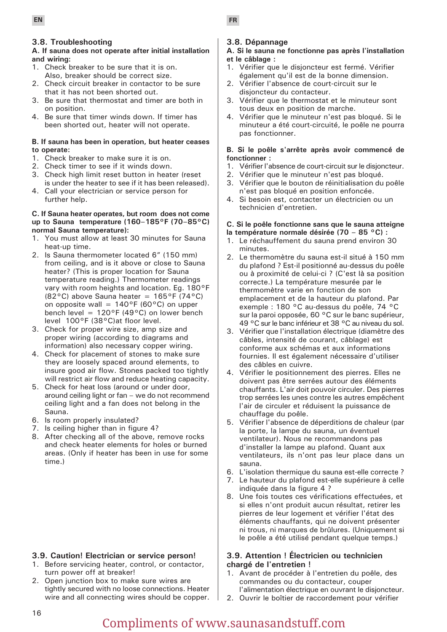#### **3.8. Troubleshooting**

#### **A. If sauna does not operate after initial installation and wiring:**

- 1. Check breaker to be sure that it is on. Also, breaker should be correct size.
- 2. Check circuit breaker in contactor to be sure that it has not been shorted out.
- 3. Be sure that thermostat and timer are both in on position.
- 4. Be sure that timer winds down. If timer has been shorted out, heater will not operate.

#### **B. If sauna has been in operation, but heater ceases to operate:**

- 1. Check breaker to make sure it is on.
- 2. Check timer to see if it winds down.
- 3. Check high limit reset button in heater (reset is under the heater to see if it has been released).
- 4. Call your electrician or service person for further help.

#### **C. If Sauna heater operates, but room does not come up to Sauna temperature (160–185°F (70–85°C) normal Sauna temperature):**

- 1. You must allow at least 30 minutes for Sauna heat-up time.
- 2. Is Sauna thermometer located 6" (150 mm) from ceiling, and is it above or close to Sauna heater? (This is proper location for Sauna temperature reading.) Thermometer readings vary with room heights and location. Eg. 180°F (82 $^{\circ}$ C) above Sauna heater = 165 $^{\circ}$ F (74 $^{\circ}$ C) on opposite wall =  $140^{\circ}$ F (60 $^{\circ}$ C) on upper bench level =  $120^{\circ}F(49^{\circ}C)$  on lower bench level 100°F (38°C)at floor level.
- 3. Check for proper wire size, amp size and proper wiring (according to diagrams and information) also necessary copper wiring.
- 4. Check for placement of stones to make sure they are loosely spaced around elements, to insure good air flow. Stones packed too tightly will restrict air flow and reduce heating capacity.
- 5. Check for heat loss (around or under door, around ceiling light or fan – we do not recommend ceiling light and a fan does not belong in the Sauna.
- 6. Is room properly insulated?
- 7. Is ceiling higher than in figure 4?
- 8. After checking all of the above, remove rocks and check heater elements for holes or burned areas. (Only if heater has been in use for some time.)

### **3.9. Caution! Electrician or service person!**

- 1. Before servicing heater, control, or contactor, turn power off at breaker!
- 2. Open junction box to make sure wires are tightly secured with no loose connections. Heater wire and all connecting wires should be copper.

### **3.8. Dépannage**

#### **A. Si le sauna ne fonctionne pas après l'installation et le câblage :**

- 1. Vérifier que le disjoncteur est fermé. Vérifier également qu'il est de la bonne dimension.
- 2. Vérifier l'absence de court-circuit sur le disjoncteur du contacteur.
- 3. Vérifier que le thermostat et le minuteur sont tous deux en position de marche.
- 4. Vérifier que le minuteur n'est pas bloqué. Si le minuteur a été court-circuité, le poêle ne pourra pas fonctionner.

#### **B. Si le poêle s'arrête après avoir commencé de fonctionner :**

- 1. Vérifier l'absence de court-circuit sur le disjoncteur.
- 2. Vérifier que le minuteur n'est pas bloqué.
- 3. Vérifier que le bouton de réinitialisation du poêle n'est pas bloqué en position enfoncée.
- 4. Si besoin est, contacter un électricien ou un technicien d'entretien.

### **C. Si le poêle fonctionne sans que le sauna atteigne**

- **la température normale désirée (70 85 °C) :**
- 1. Le réchauffement du sauna prend environ 30 minutes.
- 2. Le thermomètre du sauna est-il situé à 150 mm du plafond ? Est-il positionné au-dessus du poêle ou à proximité de celui-ci ? (C'est là sa position correcte.) La température mesurée par le thermomètre varie en fonction de son emplacement et de la hauteur du plafond. Par exemple : 180 °C au-dessus du poêle, 74 °C sur la paroi opposée, 60 °C sur le banc supérieur, 49 °C sur le banc inférieur et 38 °C au niveau du sol.
- 3. Vérifier que l'installation électrique (diamètre des câbles, intensité de courant, câblage) est conforme aux schémas et aux informations fournies. Il est également nécessaire d'utiliser des câbles en cuivre.
- 4. Vérifier le positionnement des pierres. Elles ne doivent pas être serrées autour des éléments chauffants. L'air doit pouvoir circuler. Des pierres trop serrées les unes contre les autres empêchent l'air de circuler et réduisent la puissance de chauffage du poêle.
- 5. Vérifier l'absence de déperditions de chaleur (par la porte, la lampe du sauna, un éventuel ventilateur). Nous ne recommandons pas d'installer la lampe au plafond. Quant aux ventilateurs, ils n'ont pas leur place dans un sauna.
- 6. L'isolation thermique du sauna est-elle correcte ?
- 7. Le hauteur du plafond est-elle supérieure à celle indiquée dans la figure 4 ?
- 8. Une fois toutes ces vérifications effectuées, et si elles n'ont produit aucun résultat, retirer les pierres de leur logement et vérifier l'état des éléments chauffants, qui ne doivent présenter ni trous, ni marques de brûlures. (Uniquement si le poêle a été utilisé pendant quelque temps.)

#### **3.9. Attention ! Électricien ou technicien chargé de l'entretien !**

- 1. Avant de procéder à l'entretien du poêle, des commandes ou du contacteur, couper l'alimentation électrique en ouvrant le disjoncteur.
- 2. Ouvrir le boîtier de raccordement pour vérifier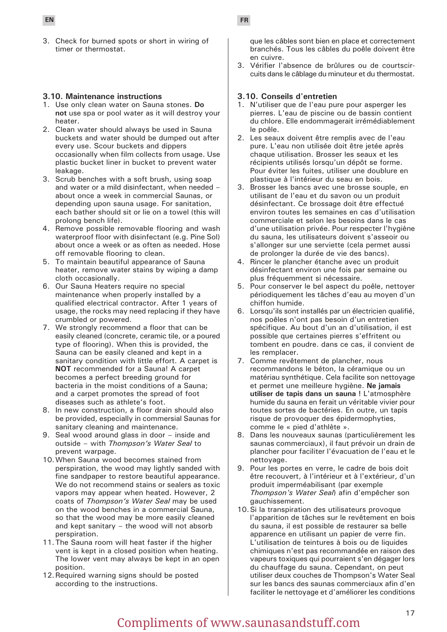3. Check for burned spots or short in wiring of timer or thermostat.

#### **3.10. Maintenance instructions**

- 1. Use only clean water on Sauna stones. **Do not** use spa or pool water as it will destroy your heater.
- 2. Clean water should always be used in Sauna buckets and water should be dumped out after every use. Scour buckets and dippers occasionally when film collects from usage. Use plastic bucket liner in bucket to prevent water leakage.
- 3. Scrub benches with a soft brush, using soap and water or a mild disinfectant, when needed – about once a week in commercial Saunas, or depending upon sauna usage. For sanitation, each bather should sit or lie on a towel (this will prolong bench life).
- 4. Remove possible removable flooring and wash waterproof floor with disinfectant (e.g. Pine Sol) about once a week or as often as needed. Hose off removable flooring to clean.
- 5. To maintain beautiful appearance of Sauna heater, remove water stains by wiping a damp cloth occasionally.
- 6. Our Sauna Heaters require no special maintenance when properly installed by a qualified electrical contractor. After 1 years of usage, the rocks may need replacing if they have crumbled or powered.
- 7. We strongly recommend a floor that can be easily cleaned (concrete, ceramic tile, or a poured type of flooring). When this is provided, the Sauna can be easily cleaned and kept in a sanitary condition with little effort. A carpet is **NOT** recommended for a Sauna! A carpet becomes a perfect breeding ground for bacteria in the moist conditions of a Sauna; and a carpet promotes the spread of foot diseases such as athlete's foot.
- 8. In new construction, a floor drain should also be provided, especially in commersial Saunas for sanitary cleaning and maintenance.
- 9. Seal wood around glass in door inside and outside – with *Thompson's Water Seal* to prevent warpage.
- 10.When Sauna wood becomes stained from perspiration, the wood may lightly sanded with fine sandpaper to restore beautiful appearance. We do not recommend stains or sealers as toxic vapors may appear when heated. However, 2 coats of *Thompson's Water Seal* may be used on the wood benches in a commercial Sauna, so that the wood may be more easily cleaned and kept sanitary – the wood will not absorb perspiration.
- 11.The Sauna room will heat faster if the higher vent is kept in a closed position when heating. The lower vent may always be kept in an open position.
- 12.Required warning signs should be posted according to the instructions.

**EN FR**

que les câbles sont bien en place et correctement branchés. Tous les câbles du poêle doivent être en cuivre.

3. Vérifier l'absence de brûlures ou de courtscircuits dans le câblage du minuteur et du thermostat.

#### **3.10. Conseils d'entretien**

- 1. N'utiliser que de l'eau pure pour asperger les pierres. L'eau de piscine ou de bassin contient du chlore. Elle endommagerait irrémédiablement le poêle.
- 2. Les seaux doivent être remplis avec de l'eau pure. L'eau non utilisée doit être jetée après chaque utilisation. Brosser les seaux et les récipients utilisés lorsqu'un dépôt se forme. Pour éviter les fuites, utiliser une doublure en plastique à l'intérieur du seau en bois.
- 3. Brosser les bancs avec une brosse souple, en utilisant de l'eau et du savon ou un produit désinfectant. Ce brossage doit être effectué environ toutes les semaines en cas d'utilisation commerciale et selon les besoins dans le cas d'une utilisation privée. Pour respecter l'hygiène du sauna, les utilisateurs doivent s'asseoir ou s'allonger sur une serviette (cela permet aussi de prolonger la durée de vie des bancs).
- 4. Rincer le plancher étanche avec un produit désinfectant environ une fois par semaine ou plus fréquemment si nécessaire.
- 5. Pour conserver le bel aspect du poêle, nettoyer périodiquement les tâches d'eau au moyen d'un chiffon humide.
- 6. Lorsqu'ils sont installés par un électricien qualifié, nos poêles n'ont pas besoin d'un entretien spécifique. Au bout d'un an d'utilisation, il est possible que certaines pierres s'effritent ou tombent en poudre. dans ce cas, il convient de les remplacer.
- 7. Comme revêtement de plancher, nous recommandons le béton, la céramique ou un matériau synthétique. Cela facilite son nettoyage et permet une meilleure hygiène. **Ne jamais utiliser de tapis dans un sauna !** L'atmosphère humide du sauna en ferait un véritable vivier pour toutes sortes de bactéries. En outre, un tapis risque de provoquer des épidermophyties, comme le « pied d'athlète ».
- 8. Dans les nouveaux saunas (particulièrement les saunas commerciaux), il faut prévoir un drain de plancher pour faciliter l'évacuation de l'eau et le nettoyage.
- 9. Pour les portes en verre, le cadre de bois doit être recouvert, à l'intérieur et à l'extérieur, d'un produit imperméabilisant (par exemple *Thompson's Water Seal*) afin d'empêcher son gauchissement.
- 10.Si la transpiration des utilisateurs provoque l'apparition de tâches sur le revêtement en bois du sauna, il est possible de restaurer sa belle apparence en utilisant un papier de verre fin. L'utilisation de teintures à bois ou de liquides chimiques n'est pas recommandée en raison des vapeurs toxiques qui pourraient s'en dégager lors du chauffage du sauna. Cependant, on peut utiliser deux couches de Thompson's Water Seal sur les bancs des saunas commerciaux afin d'en faciliter le nettoyage et d'améliorer les conditions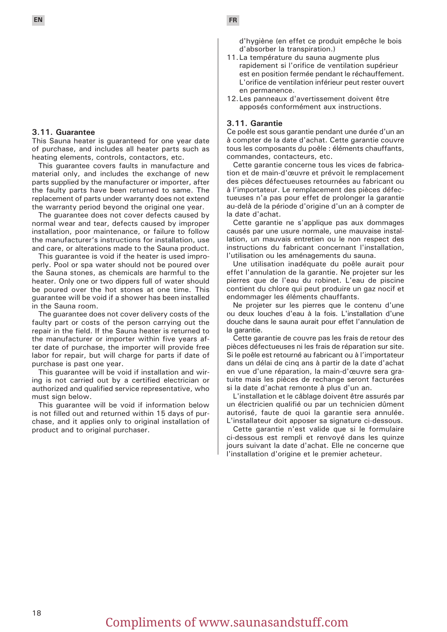#### **3.11. Guarantee**

This Sauna heater is guaranteed for one year date of purchase, and includes all heater parts such as heating elements, controls, contactors, etc.

This guarantee covers faults in manufacture and material only, and includes the exchange of new parts supplied by the manufacturer or importer, after the faulty parts have been returned to same. The replacement of parts under warranty does not extend the warranty period beyond the original one year.

The guarantee does not cover defects caused by normal wear and tear, defects caused by improper installation, poor maintenance, or failure to follow the manufacturer's instructions for installation, use and care, or alterations made to the Sauna product.

This guarantee is void if the heater is used improperly. Pool or spa water should not be poured over the Sauna stones, as chemicals are harmful to the heater. Only one or two dippers full of water should be poured over the hot stones at one time. This guarantee will be void if a shower has been installed in the Sauna room.

The guarantee does not cover delivery costs of the faulty part or costs of the person carrying out the repair in the field. If the Sauna heater is returned to the manufacturer or importer within five years after date of purchase, the importer will provide free labor for repair, but will charge for parts if date of purchase is past one year.

This guarantee will be void if installation and wiring is not carried out by a certified electrician or authorized and qualified service representative, who must sign below.

This guarantee will be void if information below is not filled out and returned within 15 days of purchase, and it applies only to original installation of product and to original purchaser.

d'hygiène (en effet ce produit empêche le bois d'absorber la transpiration.)

- 11.La température du sauna augmente plus rapidement si l'orifice de ventilation supérieur est en position fermée pendant le réchauffement. L'orifice de ventilation inférieur peut rester ouvert en permanence.
- 12.Les panneaux d'avertissement doivent être apposés conformément aux instructions.

#### **3.11. Garantie**

Ce poêle est sous garantie pendant une durée d'un an à compter de la date d'achat. Cette garantie couvre tous les composants du poêle : éléments chauffants, commandes, contacteurs, etc.

Cette garantie concerne tous les vices de fabrication et de main-d'œuvre et prévoit le remplacement des pièces défectueuses retournées au fabricant ou à l'importateur. Le remplacement des pièces défectueuses n'a pas pour effet de prolonger la garantie au-delà de la période d'origine d'un an à compter de la date d'achat.

Cette garantie ne s'applique pas aux dommages causés par une usure normale, une mauvaise installation, un mauvais entretien ou le non respect des instructions du fabricant concernant l'installation, l'utilisation ou les aménagements du sauna.

Une utilisation inadéquate du poêle aurait pour effet l'annulation de la garantie. Ne projeter sur les pierres que de l'eau du robinet. L'eau de piscine contient du chlore qui peut produire un gaz nocif et endommager les éléments chauffants.

Ne projeter sur les pierres que le contenu d'une ou deux louches d'eau à la fois. L'installation d'une douche dans le sauna aurait pour effet l'annulation de la garantie.

Cette garantie de couvre pas les frais de retour des pièces défectueuses ni les frais de réparation sur site. Si le poêle est retourné au fabricant ou à l'importateur dans un délai de cinq ans à partir de la date d'achat en vue d'une réparation, la main-d'œuvre sera gratuite mais les pièces de rechange seront facturées si la date d'achat remonte à plus d'un an.

L'installation et le câblage doivent être assurés par un électricien qualifié ou par un technicien dûment autorisé, faute de quoi la garantie sera annulée. L'installateur doit apposer sa signature ci-dessous.

Cette garantie n'est valide que si le formulaire ci-dessous est rempli et renvoyé dans les quinze jours suivant la date d'achat. Elle ne concerne que l'installation d'origine et le premier acheteur.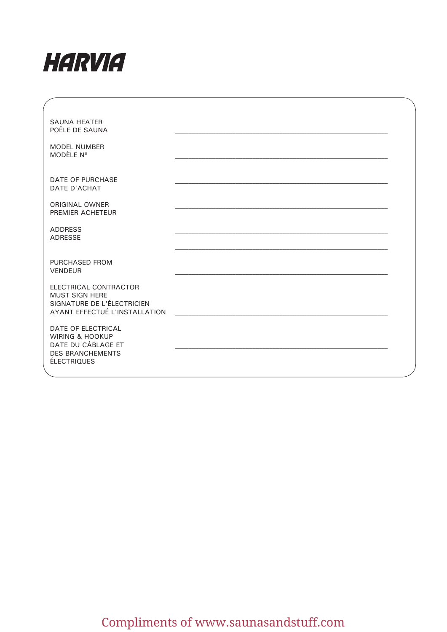

| <b>SAUNA HEATER</b><br>POÊLE DE SAUNA                                                                                   |  |
|-------------------------------------------------------------------------------------------------------------------------|--|
| <b>MODEL NUMBER</b><br>MODÈLE Nº                                                                                        |  |
| <b>DATE OF PURCHASE</b><br><b>DATE D'ACHAT</b>                                                                          |  |
| ORIGINAL OWNER<br>PREMIER ACHETEUR                                                                                      |  |
| <b>ADDRESS</b><br><b>ADRESSE</b>                                                                                        |  |
| PURCHASED FROM<br><b>VENDEUR</b>                                                                                        |  |
| ELECTRICAL CONTRACTOR<br><b>MUST SIGN HERE</b><br>SIGNATURE DE L'ÉLECTRICIEN<br>AYANT EFFECTUÉ L'INSTALLATION           |  |
| DATE OF ELECTRICAL<br><b>WIRING &amp; HOOKUP</b><br>DATE DU CÂBLAGE ET<br><b>DES BRANCHEMENTS</b><br><b>ÉLECTRIQUES</b> |  |
|                                                                                                                         |  |